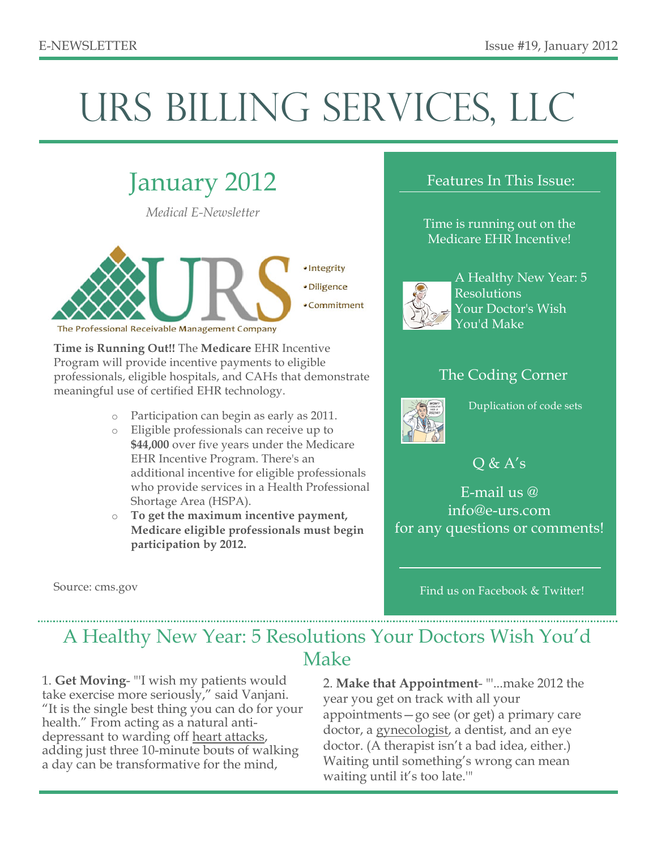# URS BILLING SERVICES, LLC

### January 2012

*Medical E-Newsletter*



**Time is Running Out!!** The **Medicare** EHR Incentive Program will provide incentive payments to eligible professionals, eligible hospitals, and CAHs that demonstrate meaningful use of certified EHR technology.

- o Participation can begin as early as 2011.
- Eligible professionals can receive up to **\$44,000** over five years under the Medicare EHR Incentive Program. There's an additional incentive for eligible professionals who provide services in a Health Professional Shortage Area (HSPA).

o **To get the maximum incentive payment, Medicare eligible professionals must begin participation by 2012.**

Source: cms.gov

#### Features In This Issue:

Time is running out on the Medicare EHR Incentive!



A Healthy New Year: 5 Resolutions Your Doctor's Wish You'd Make

#### The Coding Corner



Duplication of code sets

Q & A's

E-mail us @ info@e-urs.com for any questions or comments!

Find us on Facebook & Twitter!

### A Healthy New Year: 5 Resolutions Your Doctors Wish You'd Make

1. **Get Moving**- "'I wish my patients would take exercise more seriously," said Vanjani. "It is the single best thing you can do for your health." From acting as a natural antidepressant to warding off heart attacks, adding just three 10-minute bouts of walking a day can be transformative for the mind,

2. **Make that Appointment**- "'...make 2012 the year you get on track with all your appointments—go see (or get) a primary care doctor, a gynecologist, a dentist, and an eye doctor. (A therapist isn't a bad idea, either.) Waiting until something's wrong can mean waiting until it's too late.'"